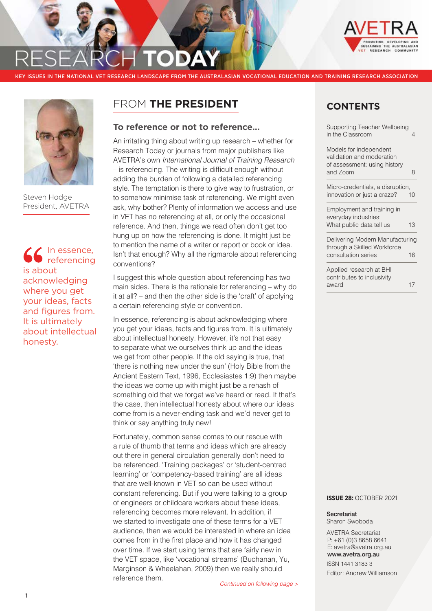

KEY ISSUES IN THE NATIONAL VET RESEARCH LANDSCAPE FROM THE AUSTRALASIAN VOCATIONAL EDUCATION AND TRAINING RESEARCH ASSOCIATION



Steven Hodge President, AVETRA

In essence, referencing is about acknowledging where you get your ideas, facts and figures from. It is ultimately about intellectual honesty.

# FROM **THE PRESIDENT**

## **To reference or not to reference…**

An irritating thing about writing up research – whether for Research Today or journals from major publishers like AVETRA's own *International Journal of Training Research* – is referencing. The writing is difficult enough without adding the burden of following a detailed referencing style. The temptation is there to give way to frustration, or to somehow minimise task of referencing. We might even ask, why bother? Plenty of information we access and use in VET has no referencing at all, or only the occasional reference. And then, things we read often don't get too hung up on how the referencing is done. It might just be to mention the name of a writer or report or book or idea. Isn't that enough? Why all the rigmarole about referencing conventions?

I suggest this whole question about referencing has two main sides. There is the rationale for referencing – why do it at all? – and then the other side is the 'craft' of applying a certain referencing style or convention.

In essence, referencing is about acknowledging where you get your ideas, facts and figures from. It is ultimately about intellectual honesty. However, it's not that easy to separate what we ourselves think up and the ideas we get from other people. If the old saying is true, that 'there is nothing new under the sun' (Holy Bible from the Ancient Eastern Text, 1996, Ecclesiastes 1:9) then maybe the ideas we come up with might just be a rehash of something old that we forget we've heard or read. If that's the case, then intellectual honesty about where our ideas come from is a never-ending task and we'd never get to think or say anything truly new!

Fortunately, common sense comes to our rescue with a rule of thumb that terms and ideas which are already out there in general circulation generally don't need to be referenced. 'Training packages' or 'student-centred learning' or 'competency-based training' are all ideas that are well-known in VET so can be used without constant referencing. But if you were talking to a group of engineers or childcare workers about these ideas, referencing becomes more relevant. In addition, if we started to investigate one of these terms for a VET audience, then we would be interested in where an idea comes from in the first place and how it has changed over time. If we start using terms that are fairly new in the VET space, like 'vocational streams' (Buchanan, Yu, Marginson & Wheelahan, 2009) then we really should reference them.

# **CONTENTS**

| <b>Supporting Teacher Wellbeing</b><br>in the Classroom                                         | 4  |
|-------------------------------------------------------------------------------------------------|----|
| Models for independent<br>validation and moderation<br>of assessment: using history<br>and Zoom | 8  |
| Micro-credentials, a disruption,<br>innovation or just a craze?                                 | 10 |
| Employment and training in<br>everyday industries:<br>What public data tell us                  | 13 |
| Delivering Modern Manufacturing<br>through a Skilled Workforce<br>consultation series           | 16 |
| Applied research at BHI<br>contributes to inclusivity<br>award                                  | 17 |
|                                                                                                 |    |

#### **ISSUE 28:** OCTOBER 2021

Secretariat Sharon Swoboda

AVETRA Secretariat P: +61 (0)3 8658 6641 E: avetra@avetra.org.au [www.avetra.org.au](http://www.avetra.org.au) ISSN 1441 3183 3 Editor: Andrew Williamson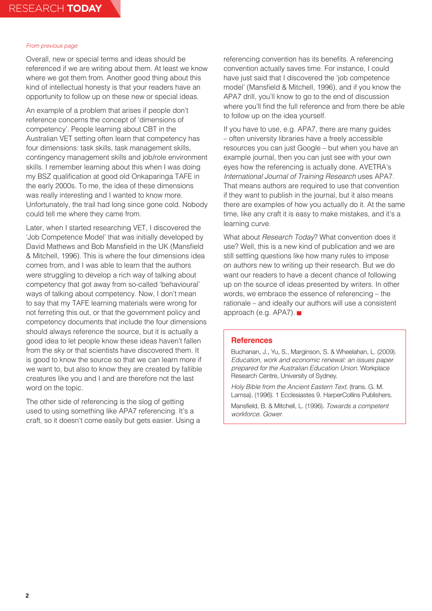Overall, new or special terms and ideas should be referenced if we are writing about them. At least we know where we got them from. Another good thing about this kind of intellectual honesty is that your readers have an opportunity to follow up on these new or special ideas.

An example of a problem that arises if people don't reference concerns the concept of 'dimensions of competency'. People learning about CBT in the Australian VET setting often learn that competency has four dimensions: task skills, task management skills, contingency management skills and job/role environment skills. I remember learning about this when I was doing my BSZ qualification at good old Onkaparinga TAFE in the early 2000s. To me, the idea of these dimensions was really interesting and I wanted to know more. Unfortunately, the trail had long since gone cold. Nobody could tell me where they came from.

Later, when I started researching VET, I discovered the 'Job Competence Model' that was initially developed by David Mathews and Bob Mansfield in the UK (Mansfield & Mitchell, 1996). This is where the four dimensions idea comes from, and I was able to learn that the authors were struggling to develop a rich way of talking about competency that got away from so-called 'behavioural' ways of talking about competency. Now, I don't mean to say that my TAFE learning materials were wrong for not ferreting this out, or that the government policy and competency documents that include the four dimensions should always reference the source, but it is actually a good idea to let people know these ideas haven't fallen from the sky or that scientists have discovered them. It is good to know the source so that we can learn more if we want to, but also to know they are created by fallible creatures like you and I and are therefore not the last word on the topic.

The other side of referencing is the slog of getting used to using something like APA7 referencing. It's a craft, so it doesn't come easily but gets easier. Using a referencing convention has its benefits. A referencing convention actually saves time. For instance, I could have just said that I discovered the 'job competence model' (Mansfield & Mitchell, 1996), and if you know the APA7 drill, you'll know to go to the end of discussion where you'll find the full reference and from there be able to follow up on the idea yourself.

If you have to use, e.g. APA7, there are many guides – often university libraries have a freely accessible resources you can just Google – but when you have an example journal, then you can just see with your own eyes how the referencing is actually done. AVETRA's *International Journal of Training Research* uses APA7. That means authors are required to use that convention if they want to publish in the journal, but it also means there are examples of how you actually do it. At the same time, like any craft it is easy to make mistakes, and it's a learning curve.

What about *Research Today*? What convention does it use? Well, this is a new kind of publication and we are still settling questions like how many rules to impose on authors new to writing up their research. But we do want our readers to have a decent chance of following up on the source of ideas presented by writers. In other words, we embrace the essence of referencing – the rationale – and ideally our authors will use a consistent approach (e.g. APA7).

## **References**

Buchanan, J., Yu, S., Marginson, S. & Wheelahan, L. (2009). *Education, work and economic renewal: an issues paper prepared for the Australian Education Union.* Workplace Research Centre, University of Sydney.

*Holy Bible from the Ancient Eastern Text*. (trans. G. M. Lamsa). (1996). 1 Ecclesiastes 9. HarperCollins Publishers.

Mansfield, B. & Mitchell, L. (1996). *Towards a competent workforce. Gower.*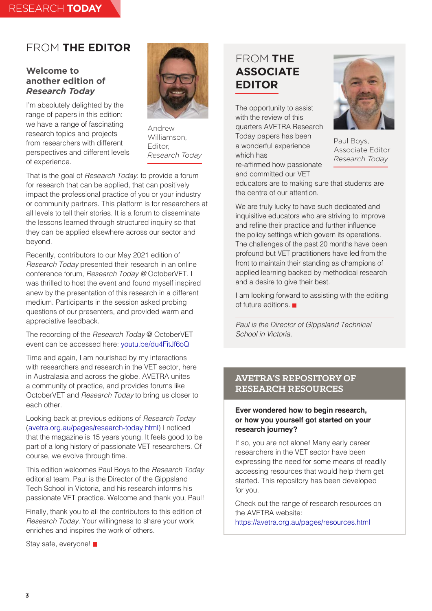# FROM **THE EDITOR**

# **Welcome to another edition of**  *Research Today*

I'm absolutely delighted by the range of papers in this edition: we have a range of fascinating research topics and projects from researchers with different perspectives and different levels of experience.



Andrew Williamson, Editor, *Research Today*

That is the goal of *Research Today*: to provide a forum for research that can be applied, that can positively impact the professional practice of you or your industry or community partners. This platform is for researchers at all levels to tell their stories. It is a forum to disseminate the lessons learned through structured inquiry so that they can be applied elsewhere across our sector and beyond.

Recently, contributors to our May 2021 edition of *Research Today* presented their research in an online conference forum, *Research Today @* OctoberVET. I was thrilled to host the event and found myself inspired anew by the presentation of this research in a different medium. Participants in the session asked probing questions of our presenters, and provided warm and appreciative feedback.

The recording of the *Research Today* @ OctoberVET event can be accessed here: [youtu.be/du4FitJf6oQ](https://www.youtube.com/watch?v=du4FitJf6oQ)

Time and again, I am nourished by my interactions with researchers and research in the VET sector, here in Australasia and across the globe. AVETRA unites a community of practice, and provides forums like OctoberVET and *Research Today* to bring us closer to each other.

Looking back at previous editions of *Research Today* [\(avetra.org.au/pages/research-today.html](https://avetra.org.au/pages/research-today.html)) I noticed that the magazine is 15 years young. It feels good to be part of a long history of passionate VET researchers. Of course, we evolve through time.

This edition welcomes Paul Boys to the *Research Today* editorial team. Paul is the Director of the Gippsland Tech School in Victoria, and his research informs his passionate VET practice. Welcome and thank you, Paul!

Finally, thank you to all the contributors to this edition of *Research Today*. Your willingness to share your work enriches and inspires the work of others.

Stay safe, everyone!

# FROM **THE ASSOCIATE EDITOR**

The opportunity to assist with the review of this quarters AVETRA Research Today papers has been a wonderful experience which has re-affirmed how passionate and committed our VET



Paul Boys, Associate Editor *Research Today*

educators are to making sure that students are the centre of our attention.

We are truly lucky to have such dedicated and inquisitive educators who are striving to improve and refine their practice and further influence the policy settings which govern its operations. The challenges of the past 20 months have been profound but VET practitioners have led from the front to maintain their standing as champions of applied learning backed by methodical research and a desire to give their best.

I am looking forward to assisting with the editing of future editions.

*Paul is the Director of Gippsland Technical School in Victoria.*

# **AVETRA'S REPOSITORY OF RESEARCH RESOURCES**

# **Ever wondered how to begin research, or how you yourself got started on your research journey?**

If so, you are not alone! Many early career researchers in the VET sector have been expressing the need for some means of readily accessing resources that would help them get started. This repository has been developed for you.

Check out the range of research resources on the AVETRA website: <https://avetra.org.au/pages/resources.html>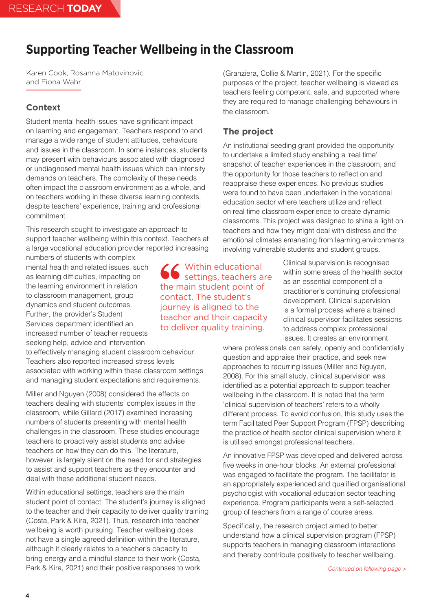# <span id="page-3-0"></span>**Supporting Teacher Wellbeing in the Classroom**

Karen Cook, Rosanna Matovinovic and Fiona Wahr

# **Context**

Student mental health issues have significant impact on learning and engagement. Teachers respond to and manage a wide range of student attitudes, behaviours and issues in the classroom. In some instances, students may present with behaviours associated with diagnosed or undiagnosed mental health issues which can intensify demands on teachers. The complexity of these needs often impact the classroom environment as a whole, and on teachers working in these diverse learning contexts, despite teachers' experience, training and professional commitment.

This research sought to investigate an approach to support teacher wellbeing within this context. Teachers at a large vocational education provider reported increasing

numbers of students with complex mental health and related issues, such as learning difficulties, impacting on the learning environment in relation to classroom management, group dynamics and student outcomes. Further, the provider's Student Services department identified an increased number of teacher requests seeking help, advice and intervention

to effectively managing student classroom behaviour. Teachers also reported increased stress levels associated with working within these classroom settings and managing student expectations and requirements.

Miller and Nguyen (2008) considered the effects on teachers dealing with students' complex issues in the classroom, while Gillard (2017) examined increasing numbers of students presenting with mental health challenges in the classroom. These studies encourage teachers to proactively assist students and advise teachers on how they can do this. The literature, however, is largely silent on the need for and strategies to assist and support teachers as they encounter and deal with these additional student needs.

Within educational settings, teachers are the main student point of contact. The student's journey is aligned to the teacher and their capacity to deliver quality training (Costa, Park & Kira, 2021). Thus, research into teacher wellbeing is worth pursuing. Teacher wellbeing does not have a single agreed definition within the literature, although it clearly relates to a teacher's capacity to bring energy and a mindful stance to their work (Costa, Park & Kira, 2021) and their positive responses to work

(Granziera, Collie & Martin, 2021). For the specific purposes of the project, teacher wellbeing is viewed as teachers feeling competent, safe, and supported where they are required to manage challenging behaviours in the classroom.

# **The project**

An institutional seeding grant provided the opportunity to undertake a limited study enabling a 'real time' snapshot of teacher experiences in the classroom, and the opportunity for those teachers to reflect on and reappraise these experiences. No previous studies were found to have been undertaken in the vocational education sector where teachers utilize and reflect on real time classroom experience to create dynamic classrooms. This project was designed to shine a light on teachers and how they might deal with distress and the emotional climates emanating from learning environments involving vulnerable students and student groups.

> Clinical supervision is recognised within some areas of the health sector as an essential component of a practitioner's continuing professional development. Clinical supervision is a formal process where a trained clinical supervisor facilitates sessions to address complex professional issues. It creates an environment

where professionals can safely, openly and confidentially question and appraise their practice, and seek new approaches to recurring issues (Miller and Nguyen, 2008). For this small study, clinical supervision was identified as a potential approach to support teacher wellbeing in the classroom. It is noted that the term 'clinical supervision of teachers' refers to a wholly different process. To avoid confusion, this study uses the term Facilitated Peer Support Program (FPSP) describing the practice of health sector clinical supervision where it is utilised amongst professional teachers.

An innovative FPSP was developed and delivered across five weeks in one-hour blocks. An external professional was engaged to facilitate the program. The facilitator is an appropriately experienced and qualified organisational psychologist with vocational education sector teaching experience. Program participants were a self-selected group of teachers from a range of course areas.

Specifically, the research project aimed to better understand how a clinical supervision program (FPSP) supports teachers in managing classroom interactions and thereby contribute positively to teacher wellbeing.

Within educational settings, teachers are the main student point of contact. The student's journey is aligned to the teacher and their capacity to deliver quality training.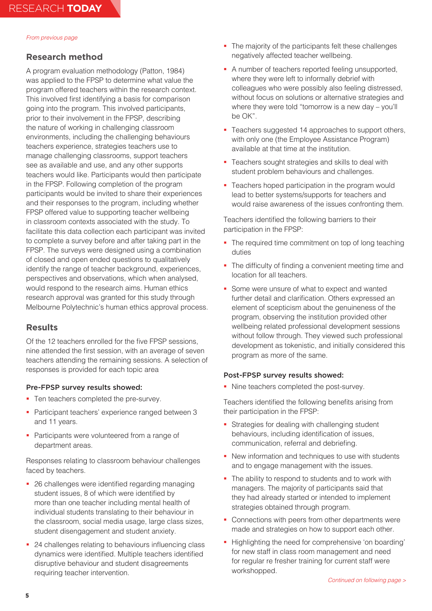# **Research method**

A program evaluation methodology (Patton, 1984) was applied to the FPSP to determine what value the program offered teachers within the research context. This involved first identifying a basis for comparison going into the program. This involved participants, prior to their involvement in the FPSP, describing the nature of working in challenging classroom environments, including the challenging behaviours teachers experience, strategies teachers use to manage challenging classrooms, support teachers see as available and use, and any other supports teachers would like. Participants would then participate in the FPSP. Following completion of the program participants would be invited to share their experiences and their responses to the program, including whether FPSP offered value to supporting teacher wellbeing in classroom contexts associated with the study. To facilitate this data collection each participant was invited to complete a survey before and after taking part in the FPSP. The surveys were designed using a combination of closed and open ended questions to qualitatively identify the range of teacher background, experiences, perspectives and observations, which when analysed, would respond to the research aims. Human ethics research approval was granted for this study through Melbourne Polytechnic's human ethics approval process.

## **Results**

Of the 12 teachers enrolled for the five FPSP sessions, nine attended the first session, with an average of seven teachers attending the remaining sessions. A selection of responses is provided for each topic area

#### Pre-FPSP survey results showed:

- Ten teachers completed the pre-survey.
- **Participant teachers' experience ranged between 3** and 11 years.
- **Participants were volunteered from a range of** department areas.

Responses relating to classroom behaviour challenges faced by teachers.

- 26 challenges were identified regarding managing student issues, 8 of which were identified by more than one teacher including mental health of individual students translating to their behaviour in the classroom, social media usage, large class sizes, student disengagement and student anxiety.
- 24 challenges relating to behaviours influencing class dynamics were identified. Multiple teachers identified disruptive behaviour and student disagreements requiring teacher intervention.
- The majority of the participants felt these challenges negatively affected teacher wellbeing.
- A number of teachers reported feeling unsupported, where they were left to informally debrief with colleagues who were possibly also feeling distressed, without focus on solutions or alternative strategies and where they were told "tomorrow is a new day – you'll be OK".
- **Teachers suggested 14 approaches to support others,** with only one (the Employee Assistance Program) available at that time at the institution.
- **Teachers sought strategies and skills to deal with** student problem behaviours and challenges.
- Teachers hoped participation in the program would lead to better systems/supports for teachers and would raise awareness of the issues confronting them.

Teachers identified the following barriers to their participation in the FPSP:

- The required time commitment on top of long teaching duties
- The difficulty of finding a convenient meeting time and location for all teachers.
- Some were unsure of what to expect and wanted further detail and clarification. Others expressed an element of scepticism about the genuineness of the program, observing the institution provided other wellbeing related professional development sessions without follow through. They viewed such professional development as tokenistic, and initially considered this program as more of the same.

#### Post-FPSP survey results showed:

Nine teachers completed the post-survey.

Teachers identified the following benefits arising from their participation in the FPSP:

- **Strategies for dealing with challenging student** behaviours, including identification of issues, communication, referral and debriefing.
- New information and techniques to use with students and to engage management with the issues.
- The ability to respond to students and to work with managers. The majority of participants said that they had already started or intended to implement strategies obtained through program.
- Connections with peers from other departments were made and strategies on how to support each other.
- Highlighting the need for comprehensive 'on boarding' for new staff in class room management and need for regular re fresher training for current staff were workshopped.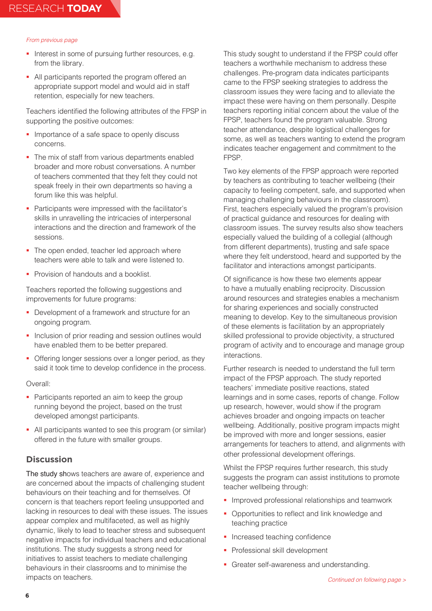- Interest in some of pursuing further resources, e.g. from the library.
- All participants reported the program offered an appropriate support model and would aid in staff retention, especially for new teachers.

Teachers identified the following attributes of the FPSP in supporting the positive outcomes:

- **Importance of a safe space to openly discuss** concerns.
- The mix of staff from various departments enabled broader and more robust conversations. A number of teachers commented that they felt they could not speak freely in their own departments so having a forum like this was helpful.
- Participants were impressed with the facilitator's skills in unravelling the intricacies of interpersonal interactions and the direction and framework of the sessions.
- The open ended, teacher led approach where teachers were able to talk and were listened to.
- **Provision of handouts and a booklist.**

Teachers reported the following suggestions and improvements for future programs:

- **Development of a framework and structure for an** ongoing program.
- **Inclusion of prior reading and session outlines would** have enabled them to be better prepared.
- Offering longer sessions over a longer period, as they said it took time to develop confidence in the process.

#### Overall:

- Participants reported an aim to keep the group running beyond the project, based on the trust developed amongst participants.
- All participants wanted to see this program (or similar) offered in the future with smaller groups*.*

# **Discussion**

The study shows teachers are aware of, experience and are concerned about the impacts of challenging student behaviours on their teaching and for themselves. Of concern is that teachers report feeling unsupported and lacking in resources to deal with these issues. The issues appear complex and multifaceted, as well as highly dynamic, likely to lead to teacher stress and subsequent negative impacts for individual teachers and educational institutions. The study suggests a strong need for initiatives to assist teachers to mediate challenging behaviours in their classrooms and to minimise the impacts on teachers.

This study sought to understand if the FPSP could offer teachers a worthwhile mechanism to address these challenges. Pre-program data indicates participants came to the FPSP seeking strategies to address the classroom issues they were facing and to alleviate the impact these were having on them personally. Despite teachers reporting initial concern about the value of the FPSP, teachers found the program valuable. Strong teacher attendance, despite logistical challenges for some, as well as teachers wanting to extend the program indicates teacher engagement and commitment to the FPSP.

Two key elements of the FPSP approach were reported by teachers as contributing to teacher wellbeing (their capacity to feeling competent, safe, and supported when managing challenging behaviours in the classroom). First, teachers especially valued the program's provision of practical guidance and resources for dealing with classroom issues. The survey results also show teachers especially valued the building of a collegial (although from different departments), trusting and safe space where they felt understood, heard and supported by the facilitator and interactions amongst participants.

Of significance is how these two elements appear to have a mutually enabling reciprocity. Discussion around resources and strategies enables a mechanism for sharing experiences and socially constructed meaning to develop. Key to the simultaneous provision of these elements is facilitation by an appropriately skilled professional to provide objectivity, a structured program of activity and to encourage and manage group interactions.

Further research is needed to understand the full term impact of the FPSP approach. The study reported teachers' immediate positive reactions, stated learnings and in some cases, reports of change. Follow up research, however, would show if the program achieves broader and ongoing impacts on teacher wellbeing. Additionally, positive program impacts might be improved with more and longer sessions, easier arrangements for teachers to attend, and alignments with other professional development offerings*.*

Whilst the FPSP requires further research, this study suggests the program can assist institutions to promote teacher wellbeing through:

- **Improved professional relationships and teamwork**
- Opportunities to reflect and link knowledge and teaching practice
- Increased teaching confidence
- **Professional skill development**
- **Greater self-awareness and understanding.**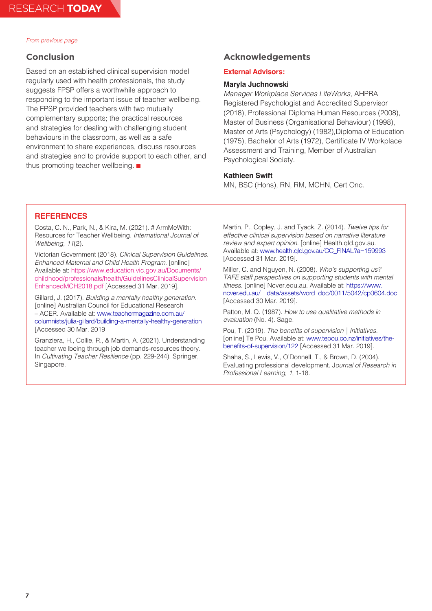## **Conclusion**

Based on an established clinical supervision model regularly used with health professionals, the study suggests FPSP offers a worthwhile approach to responding to the important issue of teacher wellbeing. The FPSP provided teachers with two mutually complementary supports; the practical resources and strategies for dealing with challenging student behaviours in the classroom, as well as a safe environment to share experiences, discuss resources and strategies and to provide support to each other, and thus promoting teacher wellbeing.

### **Acknowledgements**

#### **External Advisors:**

### **Maryla Juchnowski**

*Manager Workplace Services LifeWorks*, AHPRA Registered Psychologist and Accredited Supervisor (2018), Professional Diploma Human Resources (2008), Master of Business (Organisational Behaviour) (1998), Master of Arts (Psychology) (1982),Diploma of Education (1975), Bachelor of Arts (1972), Certificate IV Workplace Assessment and Training, Member of Australian Psychological Society.

#### **Kathleen Swift**

MN, BSC (Hons), RN, RM, MCHN, Cert Onc.

## **REFERENCES**

Costa, C. N., Park, N., & Kira, M. (2021). # ArmMeWith: Resources for Teacher Wellbeing. *International Journal of Wellbeing, 11*(2).

Victorian Government (2018). *Clinical Supervision Guidelines. Enhanced Maternal and Child Health Program*. [online] Available at: https://www.education.vic.gov.au/Documents/ childhood/professionals/health/GuidelinesClinicalSupervision EnhancedMCH2018.pdf [Accessed 31 Mar. 2019].

Gillard, J. (2017). *Building a mentally healthy generation*. [online] Australian Council for Educational Research – ACER. Available at: [www.teachermagazine.com.au/](https://www.teachermagazine.com/au_en/articles/building-a-mentally-healthy-generation) [columnists/julia-gillard/building-a-mentally-healthy-generation](https://www.teachermagazine.com/au_en/articles/building-a-mentally-healthy-generation)  [Accessed 30 Mar. 2019

Granziera, H., Collie, R., & Martin, A. (2021). Understanding teacher wellbeing through job demands-resources theory. In *Cultivating Teacher Resilience* (pp. 229-244). Springer, Singapore.

Martin, P., Copley, J. and Tyack, Z. (2014). *Twelve tips for effective clinical supervision based on narrative literature review and expert opinion*. [online] Health.qld.gov.au. Available at: [www.health.qld.gov.au/CC\\_FINAL?a=159993](https://www.health.qld.gov.au/CC_FINAL?a=159993) [Accessed 31 Mar. 2019].

Miller, C. and Nguyen, N. (2008). *Who's supporting us? TAFE staff perspectives on supporting students with mental illness.* [online] Ncver.edu.au. Available at: https://www. ncver.edu.au/\_\_data/assets/word\_doc/0011/5042/cp0604.doc [Accessed 30 Mar. 2019].

Patton, M. Q. (1987). *How to use qualitative methods in evaluation* (No. 4). Sage.

Pou, T. (2019). The benefits of supervision | Initiatives. [online] Te Pou. Available at: [www.tepou.co.nz/initiatives/the]( https://www.tepou.co.nz/initiatives/the-benefits-of-supervision/122)[benefits-of-supervision/122]( https://www.tepou.co.nz/initiatives/the-benefits-of-supervision/122) [Accessed 31 Mar. 2019].

Shaha, S., Lewis, V., O'Donnell, T., & Brown, D. (2004). Evaluating professional development. J*ournal of Research in Professional Learning, 1*, 1-18.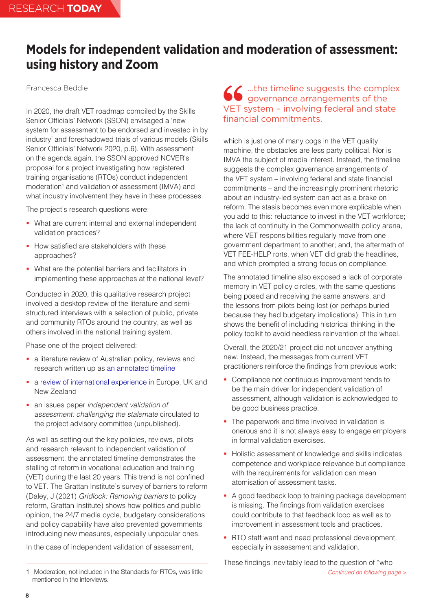# <span id="page-7-0"></span>**Models for independent validation and moderation of assessment: using history and Zoom**

# Francesca Beddie

In 2020, the draft VET roadmap compiled by the Skills Senior Officials' Network (SSON) envisaged a 'new system for assessment to be endorsed and invested in by industry' and foreshadowed trials of various models (Skills Senior Officials' Network 2020, p.6). With assessment on the agenda again, the SSON approved NCVER's proposal for a project investigating how registered training organisations (RTOs) conduct independent moderation<sup>1</sup> and validation of assessment (IMVA) and what industry involvement they have in these processes.

The project's research questions were:

- What are current internal and external independent validation practices?
- How satisfied are stakeholders with these approaches?
- What are the potential barriers and facilitators in implementing these approaches at the national level?

Conducted in 2020, this qualitative research project involved a desktop review of the literature and semistructured interviews with a selection of public, private and community RTOs around the country, as well as others involved in the national training system.

Phase one of the project delivered:

- a literature review of Australian policy, reviews and research written up as [an annotated timeline](https://www.ncver.edu.au/__data/assets/pdf_file/0036/9667116/Models_for_independent_validation_and_moderation_of_assessment.pdf)
- a [review of international experience](https://www.ncver.edu.au/__data/assets/pdf_file/0034/9667114/International_approaches_to_employer_engagement_in_quality_vocational_education_and_training.pdf) in Europe, UK and New Zealand
- an issues paper *independent validation of assessment: challenging the stalemate* circulated to the project advisory committee (unpublished).

As well as setting out the key policies, reviews, pilots and research relevant to independent validation of assessment, the annotated timeline demonstrates the stalling of reform in vocational education and training (VET) during the last 20 years. This trend is not confined to VET. The Grattan Institute's survey of barriers to reform (Daley, J (2021) *Gridlock: Removing barriers* to policy reform, Grattan Institute) shows how politics and public opinion, the 24/7 media cycle, budgetary considerations and policy capability have also prevented governments introducing new measures, especially unpopular ones.

In the case of independent validation of assessment,

# …the timeline suggests the complex governance arrangements of the VET system – involving federal and state financial commitments.

which is just one of many cogs in the VET quality machine, the obstacles are less party political. Nor is IMVA the subject of media interest. Instead, the timeline suggests the complex governance arrangements of the VET system – involving federal and state financial commitments – and the increasingly prominent rhetoric about an industry-led system can act as a brake on reform. The stasis becomes even more explicable when you add to this: reluctance to invest in the VET workforce; the lack of continuity in the Commonwealth policy arena, where VET responsibilities regularly move from one government department to another; and, the aftermath of VET FEE-HELP rorts, when VET did grab the headlines, and which prompted a strong focus on compliance.

The annotated timeline also exposed a lack of corporate memory in VET policy circles, with the same questions being posed and receiving the same answers, and the lessons from pilots being lost (or perhaps buried because they had budgetary implications). This in turn shows the benefit of including historical thinking in the policy toolkit to avoid needless reinvention of the wheel.

Overall, the 2020/21 project did not uncover anything new. Instead, the messages from current VET practitioners reinforce the findings from previous work:

- Compliance not continuous improvement tends to be the main driver for independent validation of assessment, although validation is acknowledged to be good business practice.
- The paperwork and time involved in validation is onerous and it is not always easy to engage employers in formal validation exercises.
- **Holistic assessment of knowledge and skills indicates** competence and workplace relevance but compliance with the requirements for validation can mean atomisation of assessment tasks.
- A good feedback loop to training package development is missing. The findings from validation exercises could contribute to that feedback loop as well as to improvement in assessment tools and practices.
- **RTO staff want and need professional development,** especially in assessment and validation.

*Continued on following page >* These findings inevitably lead to the question of "who

<sup>1</sup> Moderation, not included in the Standards for RTOs, was little mentioned in the interviews.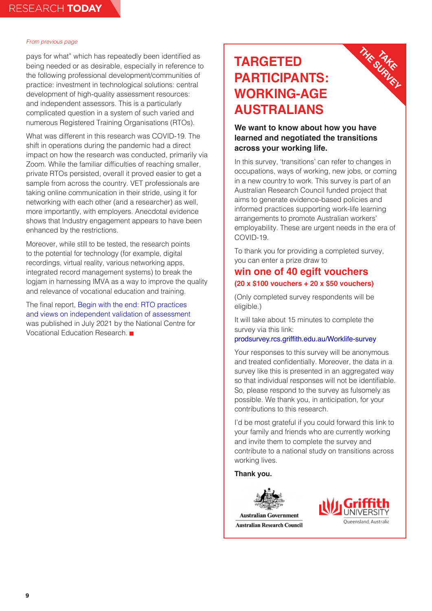pays for what" which has repeatedly been identified as being needed or as desirable, especially in reference to the following professional development/communities of practice: investment in technological solutions: central development of high-quality assessment resources: and independent assessors. This is a particularly complicated question in a system of such varied and numerous Registered Training Organisations (RTOs).

What was different in this research was COVID-19. The shift in operations during the pandemic had a direct impact on how the research was conducted, primarily via Zoom. While the familiar difficulties of reaching smaller, private RTOs persisted, overall it proved easier to get a sample from across the country. VET professionals are taking online communication in their stride, using it for networking with each other (and a researcher) as well, more importantly, with employers. Anecdotal evidence shows that Industry engagement appears to have been enhanced by the restrictions.

Moreover, while still to be tested, the research points to the potential for technology (for example, digital recordings, virtual reality, various networking apps, integrated record management systems) to break the logjam in harnessing IMVA as a way to improve the quality and relevance of vocational education and training.

The final report, [Begin with the end: RTO practices](https://www.ncver.edu.au/research-and-statistics/publications/all-publications/begin-with-the-end-rto-practices-and-views-on-independent-validation-of-assessment)  [and views on independent validation of assessment](https://www.ncver.edu.au/research-and-statistics/publications/all-publications/begin-with-the-end-rto-practices-and-views-on-independent-validation-of-assessment) was published in July 2021 by the National Centre for Vocational Education Research.

# **TARGETED PARTICIPANTS: WORKING-AGE AUSTRALIANS**

# **We want to know about how you have learned and negotiated the transitions across your working life.**

**TAKE THE SURVEY**

In this survey, 'transitions' can refer to changes in occupations, ways of working, new jobs, or coming in a new country to work. This survey is part of an Australian Research Council funded project that aims to generate evidence-based policies and informed practices supporting work-life learning arrangements to promote Australian workers' employability. These are urgent needs in the era of COVID-19.

To thank you for providing a completed survey, you can enter a prize draw to

# **win one of 40 egift vouchers (20 x \$100 vouchers + 20 x \$50 vouchers)**

(Only completed survey respondents will be eligible.)

It will take about 15 minutes to complete the survey via this link:

#### [prodsurvey.rcs.griffith.edu.au/Worklife-survey](https://prodsurvey.rcs.griffith.edu.au/prodls200/index.php/survey/index/sid/815957/newtest/Y)

Your responses to this survey will be anonymous and treated confidentially. Moreover, the data in a survey like this is presented in an aggregated way so that individual responses will not be identifiable. So, please respond to the survey as fulsomely as possible. We thank you, in anticipation, for your contributions to this research.

I'd be most grateful if you could forward this link to your family and friends who are currently working and invite them to complete the survey and contribute to a national study on transitions across working lives.

**Thank you.**



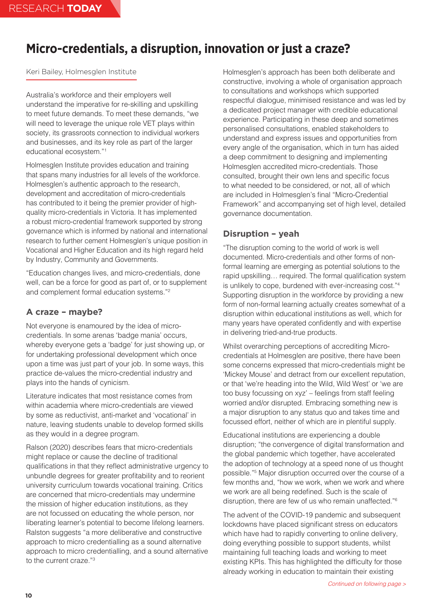# <span id="page-9-0"></span>**Micro-credentials, a disruption, innovation or just a craze?**

## Keri Bailey, Holmesglen Institute

Australia's workforce and their employers well understand the imperative for re-skilling and upskilling to meet future demands. To meet these demands, "we will need to leverage the unique role VET plays within society, its grassroots connection to individual workers and businesses, and its key role as part of the larger educational ecosystem."1

Holmesglen Institute provides education and training that spans many industries for all levels of the workforce. Holmesglen's authentic approach to the research, development and accreditation of micro-credentials has contributed to it being the premier provider of highquality micro-credentials in Victoria. It has implemented a robust micro-credential framework supported by strong governance which is informed by national and international research to further cement Holmesglen's unique position in Vocational and Higher Education and its high regard held by Industry, Community and Governments.

"Education changes lives, and micro-credentials, done well, can be a force for good as part of, or to supplement and complement formal education systems."2

# **A craze – maybe?**

Not everyone is enamoured by the idea of microcredentials. In some arenas 'badge mania' occurs, whereby everyone gets a 'badge' for just showing up, or for undertaking professional development which once upon a time was just part of your job. In some ways, this practice de-values the micro-credential industry and plays into the hands of cynicism.

Literature indicates that most resistance comes from within academia where micro-credentials are viewed by some as reductivist, anti-market and 'vocational' in nature, leaving students unable to develop formed skills as they would in a degree program.

Ralson (2020) describes fears that micro-credentials might replace or cause the decline of traditional qualifications in that they reflect administrative urgency to unbundle degrees for greater profitability and to reorient university curriculum towards vocational training. Critics are concerned that micro-credentials may undermine the mission of higher education institutions, as they are not focussed on educating the whole person, nor liberating learner's potential to become lifelong learners. Ralston suggests "a more deliberative and constructive approach to micro credentialling as a sound alternative approach to micro credentialling, and a sound alternative to the current craze."3

Holmesglen's approach has been both deliberate and constructive, involving a whole of organisation approach to consultations and workshops which supported respectful dialogue, minimised resistance and was led by a dedicated project manager with credible educational experience. Participating in these deep and sometimes personalised consultations, enabled stakeholders to understand and express issues and opportunities from every angle of the organisation, which in turn has aided a deep commitment to designing and implementing Holmesglen accredited micro-credentials. Those consulted, brought their own lens and specific focus to what needed to be considered, or not, all of which are included in Holmesglen's final "Micro-Credential Framework" and accompanying set of high level, detailed governance documentation.

# **Disruption – yeah**

"The disruption coming to the world of work is well documented. Micro-credentials and other forms of nonformal learning are emerging as potential solutions to the rapid upskilling… required. The formal qualification system is unlikely to cope, burdened with ever-increasing cost."4 Supporting disruption in the workforce by providing a new form of non-formal learning actually creates somewhat of a disruption within educational institutions as well, which for many years have operated confidently and with expertise in delivering tried-and-true products.

Whilst overarching perceptions of accrediting Microcredentials at Holmesglen are positive, there have been some concerns expressed that micro-credentials might be 'Mickey Mouse' and detract from our excellent reputation, or that 'we're heading into the Wild, Wild West' or 'we are too busy focussing on xyz' – feelings from staff feeling worried and/or disrupted. Embracing something new is a major disruption to any status quo and takes time and focussed effort, neither of which are in plentiful supply.

Educational institutions are experiencing a double disruption; "the convergence of digital transformation and the global pandemic which together, have accelerated the adoption of technology at a speed none of us thought possible."5 Major disruption occurred over the course of a few months and, "how we work, when we work and where we work are all being redefined. Such is the scale of disruption, there are few of us who remain unaffected."6

The advent of the COVID-19 pandemic and subsequent lockdowns have placed significant stress on educators which have had to rapidly converting to online delivery, doing everything possible to support students, whilst maintaining full teaching loads and working to meet existing KPIs. This has highlighted the difficulty for those already working in education to maintain their existing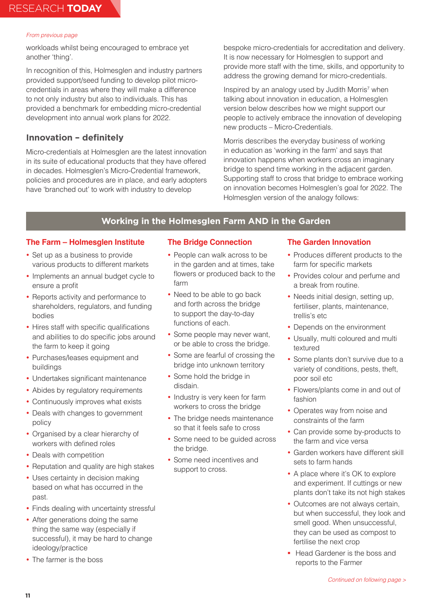workloads whilst being encouraged to embrace yet another 'thing'.

In recognition of this, Holmesglen and industry partners provided support/seed funding to develop pilot microcredentials in areas where they will make a difference to not only industry but also to individuals. This has provided a benchmark for embedding micro-credential development into annual work plans for 2022.

# **Innovation – definitely**

Micro-credentials at Holmesglen are the latest innovation in its suite of educational products that they have offered in decades. Holmesglen's Micro-Credential framework, policies and procedures are in place, and early adopters have 'branched out' to work with industry to develop

bespoke micro-credentials for accreditation and delivery. It is now necessary for Holmesglen to support and provide more staff with the time, skills, and opportunity to address the growing demand for micro-credentials.

Inspired by an analogy used by Judith Morris<sup>7</sup> when talking about innovation in education, a Holmesglen version below describes how we might support our people to actively embrace the innovation of developing new products – Micro-Credentials.

Morris describes the everyday business of working in education as 'working in the farm' and says that innovation happens when workers cross an imaginary bridge to spend time working in the adjacent garden. Supporting staff to cross that bridge to embrace working on innovation becomes Holmesglen's goal for 2022. The Holmesglen version of the analogy follows:

# **Working in the Holmesglen Farm AND in the Garden**

## **The Farm – Holmesglen Institute**

- Set up as a business to provide various products to different markets
- Implements an annual budget cycle to ensure a profit
- Reports activity and performance to shareholders, regulators, and funding bodies
- Hires staff with specific qualifications and abilities to do specific jobs around the farm to keep it going
- Purchases/leases equipment and buildings
- Undertakes significant maintenance
- Abides by regulatory requirements
- Continuously improves what exists
- Deals with changes to government policy
- Organised by a clear hierarchy of workers with defined roles
- Deals with competition
- Reputation and quality are high stakes
- Uses certainty in decision making based on what has occurred in the past.
- Finds dealing with uncertainty stressful
- After generations doing the same thing the same way (especially if successful), it may be hard to change ideology/practice
- The farmer is the boss

## **The Bridge Connection**

- People can walk across to be in the garden and at times, take flowers or produced back to the farm
- Need to be able to go back and forth across the bridge to support the day-to-day functions of each.
- Some people may never want, or be able to cross the bridge.
- Some are fearful of crossing the bridge into unknown territory
- Some hold the bridge in disdain.
- Industry is very keen for farm workers to cross the bridge
- The bridge needs maintenance so that it feels safe to cross
- Some need to be guided across the bridge.
- Some need incentives and support to cross.

## **The Garden Innovation**

- Produces different products to the farm for specific markets
- Provides colour and perfume and a break from routine.
- Needs initial design, setting up, fertiliser, plants, maintenance, trellis's etc
- Depends on the environment
- Usually, multi coloured and multi textured
- Some plants don't survive due to a variety of conditions, pests, theft, poor soil etc
- Flowers/plants come in and out of fashion
- Operates way from noise and constraints of the farm
- Can provide some by-products to the farm and vice versa
- Garden workers have different skill sets to farm hands
- A place where it's OK to explore and experiment. If cuttings or new plants don't take its not high stakes
- Outcomes are not always certain, but when successful, they look and smell good. When unsuccessful, they can be used as compost to fertilise the next crop
- **Head Gardener is the boss and** reports to the Farmer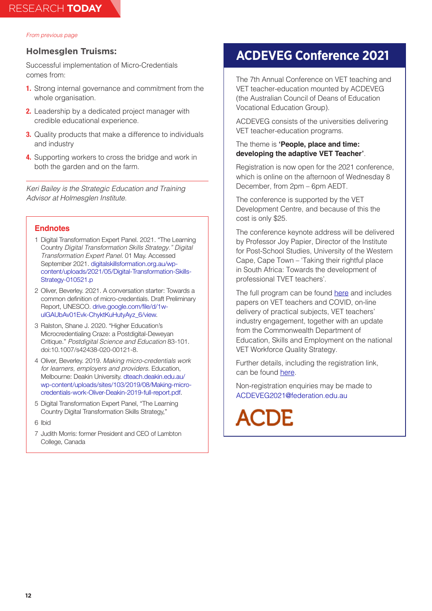### **Holmesglen Truisms:**

Successful implementation of Micro-Credentials comes from:

- **1.** Strong internal governance and commitment from the whole organisation.
- **2.** Leadership by a dedicated project manager with credible educational experience.
- **3.** Quality products that make a difference to individuals and industry
- **4.** Supporting workers to cross the bridge and work in both the garden and on the farm.

*Keri Bailey is the Strategic Education and Training Advisor at Holmesglen Institute.*

### **Endnotes**

- 1 Digital Transformation Expert Panel. 2021. "The Learning Country *Digital Transformation Skills Strategy." Digital Transformation Expert Panel*. 01 May. Accessed September 2021. digitalskillsformation.org.au/wpcontent/uploads/2021/05/Digital-Transformation-Skills-Strategy-010521.p
- 2 Oliver, Beverley. 2021. A conversation starter: Towards a common definition of micro-credentials. Draft Preliminary Report, UNESCO. [drive.google.com/file/d/1w](https://drive.google.com/file/d/1w-uIGAUbAv01Evk-ChyktKuHutyAyz_6/view)[uIGAUbAv01Evk-ChyktKuHutyAyz\\_6/view.](https://drive.google.com/file/d/1w-uIGAUbAv01Evk-ChyktKuHutyAyz_6/view)
- 3 Ralston, Shane J. 2020. "Higher Education's Microcredentialing Craze: a Postdigital-Deweyan Critique." *Postdigital Science and Education* 83-101. doi:10.1007/s42438-020-00121-8.
- 4 Oliver, Beverley. 2019. *Making micro-credentials work for learners, employers and providers*. Education, Melbourne: Deakin University. [dteach.deakin.edu.au/](https://dteach.deakin.edu.au/wp-content/uploads/sites/103/2019/08/Making-micro-credentials-work-Oliver-Deakin-2019-full-report.pdf) [wp-content/uploads/sites/103/2019/08/Making-micro](https://dteach.deakin.edu.au/wp-content/uploads/sites/103/2019/08/Making-micro-credentials-work-Oliver-Deakin-2019-full-report.pdf)[credentials-work-Oliver-Deakin-2019-full-report.pdf.](https://dteach.deakin.edu.au/wp-content/uploads/sites/103/2019/08/Making-micro-credentials-work-Oliver-Deakin-2019-full-report.pdf)
- 5 Digital Transformation Expert Panel, "The Learning Country Digital Transformation Skills Strategy,"
- 6 Ibid
- 7 Judith Morris: former President and CEO of Lambton College, Canada

# **ACDEVEG Conference 2021**

The 7th Annual Conference on VET teaching and VET teacher-education mounted by ACDEVEG (the Australian Council of Deans of Education Vocational Education Group).

ACDEVEG consists of the universities delivering VET teacher-education programs.

### The theme is **'People, place and time: developing the adaptive VET Teacher'**.

Registration is now open for the 2021 conference, which is online on the afternoon of Wednesday 8 December, from 2pm – 6pm AEDT.

The conference is supported by the VET Development Centre, and because of this the cost is only \$25.

The conference keynote address will be delivered by Professor Joy Papier, Director of the Institute for Post-School Studies, University of the Western Cape, Cape Town – 'Taking their rightful place in South Africa: Towards the development of professional TVET teachers'.

The full program can be found [here](https://vdc.edu.au/professional-learning/?eventtemplate=159-australian-council-of-deans-of-education-vocational-education-group-acdeveg-seventh-annual-conference-people-place-and-time-developing-the-adaptive-vet-teacher) and includes papers on VET teachers and COVID, on-line delivery of practical subjects, VET teachers' industry engagement, together with an update from the Commonwealth Department of Education, Skills and Employment on the national VET Workforce Quality Strategy.

Further details, including the registration link, can be found [here](https://vdc.edu.au/professional-learning/?eventtemplate=159-australian-council-of-deans-of-education-vocational-education-group-acdeveg-seventh-annual-conference-people-place-and-time-developing-the-adaptive-vet-teacher).

Non-registration enquiries may be made to [ACDEVEG2021@federation.edu.au](mailto:ACDEVEG2021%40federation.edu.au?subject=)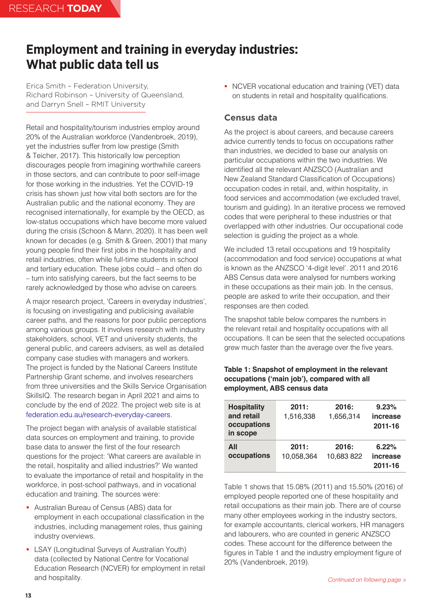# <span id="page-12-0"></span>**Employment and training in everyday industries: What public data tell us**

Erica Smith – Federation University, Richard Robinson – University of Queensland, and Darryn Snell – RMIT University

Retail and hospitality/tourism industries employ around 20% of the Australian workforce (Vandenbroek, 2019), yet the industries suffer from low prestige (Smith & Teicher, 2017). This historically low perception discourages people from imagining worthwhile careers in those sectors, and can contribute to poor self-image for those working in the industries. Yet the COVID-19 crisis has shown just how vital both sectors are for the Australian public and the national economy. They are recognised internationally, for example by the OECD, as low-status occupations which have become more valued during the crisis (Schoon & Mann, 2020). It has been well known for decades (e.g. Smith & Green, 2001) that many young people find their first jobs in the hospitality and retail industries, often while full-time students in school and tertiary education. These jobs could – and often do – turn into satisfying careers, but the fact seems to be rarely acknowledged by those who advise on careers.

A major research project, 'Careers in everyday industries', is focusing on investigating and publicising available career paths, and the reasons for poor public perceptions among various groups. It involves research with industry stakeholders, school, VET and university students, the general public, and careers advisers, as well as detailed company case studies with managers and workers. The project is funded by the National Careers Institute Partnership Grant scheme, and involves researchers from three universities and the Skills Service Organisation SkillsIQ. The research began in April 2021 and aims to conclude by the end of 2022. The project web site is at [federation.edu.au/research-everyday-careers.](https://protect-au.mimecast.com/s/qnk7CANpqVulX8Z0UGNiia?domain=federation.edu.au)

The project began with analysis of available statistical data sources on employment and training, to provide base data to answer the first of the four research questions for the project: 'What careers are available in the retail, hospitality and allied industries?' We wanted to evaluate the importance of retail and hospitality in the workforce, in post-school pathways, and in vocational education and training. The sources were:

- Australian Bureau of Census (ABS) data for employment in each occupational classification in the industries, including management roles, thus gaining industry overviews.
- **EXAY (Longitudinal Surveys of Australian Youth)** data (collected by National Centre for Vocational Education Research (NCVER) for employment in retail and hospitality.

• NCVER vocational education and training (VET) data on students in retail and hospitality qualifications.

# **Census data**

As the project is about careers, and because careers advice currently tends to focus on occupations rather than industries, we decided to base our analysis on particular occupations within the two industries. We identified all the relevant ANZSCO (Australian and New Zealand Standard Classification of Occupations) occupation codes in retail, and, within hospitality, in food services and accommodation (we excluded travel, tourism and guiding). In an iterative process we removed codes that were peripheral to these industries or that overlapped with other industries. Our occupational code selection is guiding the project as a whole.

We included 13 retail occupations and 19 hospitality (accommodation and food service) occupations at what is known as the ANZSCO '4-digit level'. 2011 and 2016 ABS Census data were analysed for numbers working in these occupations as their main job. In the census, people are asked to write their occupation, and their responses are then coded.

The snapshot table below compares the numbers in the relevant retail and hospitality occupations with all occupations. It can be seen that the selected occupations grew much faster than the average over the five years.

## **Table 1: Snapshot of employment in the relevant occupations ('main job'), compared with all employment, ABS census data**

| <b>Hospitality</b><br>and retail<br>occupations<br>in scope | 2011:<br>1,516,338  | 2016:<br>1,656,314  | 9.23%<br>increase<br>2011-16 |
|-------------------------------------------------------------|---------------------|---------------------|------------------------------|
| All<br>occupations                                          | 2011:<br>10.058.364 | 2016:<br>10,683 822 | 6.22%<br>increase<br>2011-16 |

Table 1 shows that 15.08% (2011) and 15.50% (2016) of employed people reported one of these hospitality and retail occupations as their main job. There are of course many other employees working in the industry sectors, for example accountants, clerical workers, HR managers and labourers, who are counted in generic ANZSCO codes. These account for the difference between the figures in Table 1 and the industry employment figure of 20% (Vandenbroek, 2019).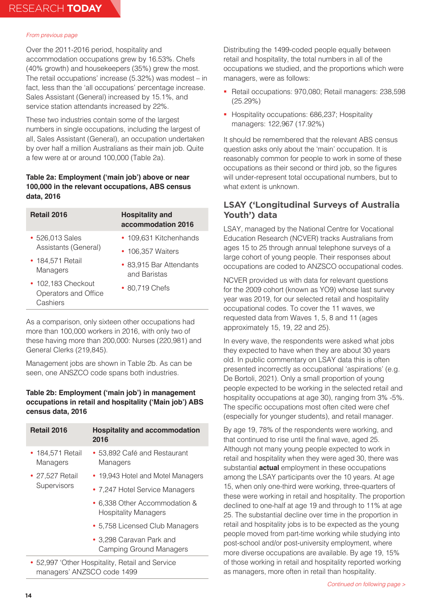Over the 2011-2016 period, hospitality and accommodation occupations grew by 16.53%. Chefs (40% growth) and housekeepers (35%) grew the most. The retail occupations' increase (5.32%) was modest – in fact, less than the 'all occupations' percentage increase. Sales Assistant (General) increased by 15.1%, and service station attendants increased by 22%.

These two industries contain some of the largest numbers in single occupations, including the largest of all, Sales Assistant (General), an occupation undertaken by over half a million Australians as their main job. Quite a few were at or around 100,000 (Table 2a).

## **Table 2a: Employment ('main job') above or near 100,000 in the relevant occupations, ABS census data, 2016**

| <b>Retail 2016</b>                                     | <b>Hospitality and</b><br>accommodation 2016 |  |
|--------------------------------------------------------|----------------------------------------------|--|
| • 526,013 Sales                                        | • 109,631 Kitchenhands                       |  |
| Assistants (General)                                   | • 106,357 Waiters                            |  |
| • 184,571 Retail                                       | • 83,915 Bar Attendants                      |  |
| Managers                                               | and Baristas                                 |  |
| • 102,183 Checkout<br>Operators and Office<br>Cashiers | • 80,719 Chefs                               |  |

As a comparison, only sixteen other occupations had more than 100,000 workers in 2016, with only two of these having more than 200,000: Nurses (220,981) and General Clerks (219,845).

Management jobs are shown in Table 2b. As can be seen, one ANSZCO code spans both industries.

## **Table 2b: Employment ('main job') in management occupations in retail and hospitality ('Main job') ABS census data, 2016**

| Retail 2016                    | <b>Hospitality and accommodation</b><br>2016                 |
|--------------------------------|--------------------------------------------------------------|
| • 184,571 Retail<br>Managers   | • 53,892 Café and Restaurant<br>Managers                     |
| • 27,527 Retail<br>Supervisors | • 19,943 Hotel and Motel Managers                            |
|                                | • 7,247 Hotel Service Managers                               |
|                                | • 6,338 Other Accommodation &<br><b>Hospitality Managers</b> |
|                                | • 5,758 Licensed Club Managers                               |
|                                | • 3,298 Caravan Park and<br><b>Camping Ground Managers</b>   |
| $\bullet$                      | 52.997 'Other Hoenitality Retail and Service                 |

y 52,997 'Other Hospitality, Retail and Service managers' ANZSCO code 1499

Distributing the 1499-coded people equally between retail and hospitality, the total numbers in all of the occupations we studied, and the proportions which were managers, were as follows:

- Retail occupations: 970,080; Retail managers: 238,598 (25.29%)
- Hospitality occupations: 686,237; Hospitality managers: 122,967 (17.92%)

It should be remembered that the relevant ABS census question asks only about the 'main' occupation. It is reasonably common for people to work in some of these occupations as their second or third job, so the figures will under-represent total occupational numbers, but to what extent is unknown.

# **LSAY ('Longitudinal Surveys of Australia Youth') data**

LSAY, managed by the National Centre for Vocational Education Research (NCVER) tracks Australians from ages 15 to 25 through annual telephone surveys of a large cohort of young people. Their responses about occupations are coded to ANZSCO occupational codes.

NCVER provided us with data for relevant questions for the 2009 cohort (known as YO9) whose last survey year was 2019, for our selected retail and hospitality occupational codes. To cover the 11 waves, we requested data from Waves 1, 5, 8 and 11 (ages approximately 15, 19, 22 and 25).

In every wave, the respondents were asked what jobs they expected to have when they are about 30 years old. In public commentary on LSAY data this is often presented incorrectly as occupational 'aspirations' (e.g. De Bortoli, 2021). Only a small proportion of young people expected to be working in the selected retail and hospitality occupations at age 30), ranging from 3% -5%. The specific occupations most often cited were chef (especially for younger students), and retail manager.

By age 19, 78% of the respondents were working, and that continued to rise until the final wave, aged 25. Although not many young people expected to work in retail and hospitality when they were aged 30, there was substantial **actual** employment in these occupations among the LSAY participants over the 10 years. At age 15, when only one-third were working, three-quarters of these were working in retail and hospitality. The proportion declined to one-half at age 19 and through to 11% at age 25. The substantial decline over time in the proportion in retail and hospitality jobs is to be expected as the young people moved from part-time working while studying into post-school and/or post-university employment, where more diverse occupations are available. By age 19, 15% of those working in retail and hospitality reported working as managers, more often in retail than hospitality.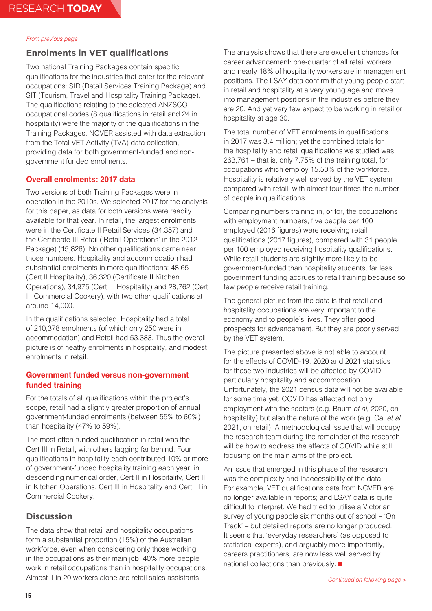# **Enrolments in VET qualifications**

Two national Training Packages contain specific qualifications for the industries that cater for the relevant occupations: SIR (Retail Services Training Package) and SIT (Tourism, Travel and Hospitality Training Package). The qualifications relating to the selected ANZSCO occupational codes (8 qualifications in retail and 24 in hospitality) were the majority of the qualifications in the Training Packages. NCVER assisted with data extraction from the Total VET Activity (TVA) data collection, providing data for both government-funded and nongovernment funded enrolments.

### **Overall enrolments: 2017 data**

Two versions of both Training Packages were in operation in the 2010s. We selected 2017 for the analysis for this paper, as data for both versions were readily available for that year. In retail, the largest enrolments were in the Certificate II Retail Services (34,357) and the Certificate III Retail ('Retail Operations' in the 2012 Package) (15,826). No other qualifications came near those numbers. Hospitality and accommodation had substantial enrolments in more qualifications: 48,651 (Cert II Hospitality), 36,320 (Certificate II Kitchen Operations), 34,975 (Cert III Hospitality) and 28,762 (Cert III Commercial Cookery), with two other qualifications at around 14,000.

In the qualifications selected, Hospitality had a total of 210,378 enrolments (of which only 250 were in accommodation) and Retail had 53,383. Thus the overall picture is of heathy enrolments in hospitality, and modest enrolments in retail.

## **Government funded versus non-government funded training**

For the totals of all qualifications within the project's scope, retail had a slightly greater proportion of annual government-funded enrolments (between 55% to 60%) than hospitality (47% to 59%).

The most-often-funded qualification in retail was the Cert III in Retail, with others lagging far behind. Four qualifications in hospitality each contributed 10% or more of government-funded hospitality training each year: in descending numerical order, Cert II in Hospitality, Cert II in Kitchen Operations, Cert III in Hospitality and Cert III in Commercial Cookery.

# **Discussion**

The data show that retail and hospitality occupations form a substantial proportion (15%) of the Australian workforce, even when considering only those working in the occupations as their main job. 40% more people work in retail occupations than in hospitality occupations. Almost 1 in 20 workers alone are retail sales assistants.

The analysis shows that there are excellent chances for career advancement: one-quarter of all retail workers and nearly 18% of hospitality workers are in management positions. The LSAY data confirm that young people start in retail and hospitality at a very young age and move into management positions in the industries before they are 20. And yet very few expect to be working in retail or hospitality at age 30.

The total number of VET enrolments in qualifications in 2017 was 3.4 million; yet the combined totals for the hospitality and retail qualifications we studied was 263,761 – that is, only 7.75% of the training total, for occupations which employ 15.50% of the workforce. Hospitality is relatively well served by the VET system compared with retail, with almost four times the number of people in qualifications.

Comparing numbers training in, or for, the occupations with employment numbers, five people per 100 employed (2016 figures) were receiving retail qualifications (2017 figures), compared with 31 people per 100 employed receiving hospitality qualifications. While retail students are slightly more likely to be government-funded than hospitality students, far less government funding accrues to retail training because so few people receive retail training.

The general picture from the data is that retail and hospitality occupations are very important to the economy and to people's lives. They offer good prospects for advancement. But they are poorly served by the VET system.

The picture presented above is not able to account for the effects of COVID-19. 2020 and 2021 statistics for these two industries will be affected by COVID, particularly hospitality and accommodation. Unfortunately, the 2021 census data will not be available for some time yet. COVID has affected not only employment with the sectors (e.g. Baum *et al*, 2020, on hospitality) but also the nature of the work (e.g. Cai *et al*, 2021, on retail). A methodological issue that will occupy the research team during the remainder of the research will be how to address the effects of COVID while still focusing on the main aims of the project.

An issue that emerged in this phase of the research was the complexity and inaccessibility of the data. For example, VET qualifications data from NCVER are no longer available in reports; and LSAY data is quite difficult to interpret. We had tried to utilise a Victorian survey of young people six months out of school – 'On Track' – but detailed reports are no longer produced. It seems that 'everyday researchers' (as opposed to statistical experts), and arguably more importantly, careers practitioners, are now less well served by national collections than previously.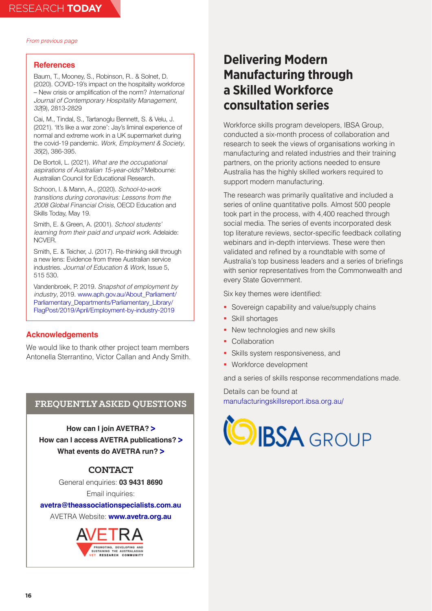#### <span id="page-15-0"></span>**References**

Baum, T., Mooney, S., Robinson, R.. & Solnet, D. (2020). COVID-19's impact on the hospitality workforce – New crisis or amplification of the norm? *International Journal of Contemporary Hospitality Management, 32*(9), 2813-2829

Cai, M., Tindal, S., Tartanoglu Bennett, S. & Velu, J. (2021). 'It's like a war zone': Jay's liminal experience of normal and extreme work in a UK supermarket during the covid-19 pandemic. *Work, Employment & Society, 35*(2), 386-395.

De Bortoli, L. (2021). *What are the occupational aspirations of Australian 15-year-olds?* Melbourne: Australian Council for Educational Research.

Schoon, I. & Mann, A., (2020). *School-to-work transitions during coronavirus: Lessons from the 2008 Global Financial Crisis*, OECD Education and Skills Today, May 19.

Smith, E. & Green, A. (2001). *School students' learning from their paid and unpaid work*. Adelaide: NCVER.

Smith, E. & Teicher, J. (2017). Re-thinking skill through a new lens: Evidence from three Australian service industries. *Journal of Education & Work*, Issue 5, 515 530.

Vandenbroek, P. 2019. *Snapshot of employment by industry*, 2019. [www.aph.gov.au/About\\_Parliament/](https://www.aph.gov.au/About_Parliament/Parliamentary_Departments/Parliamentary_Library/FlagPost/2019/April/Employment-by-industry-2019) [Parliamentary\\_Departments/Parliamentary\\_Library/](https://www.aph.gov.au/About_Parliament/Parliamentary_Departments/Parliamentary_Library/FlagPost/2019/April/Employment-by-industry-2019) [FlagPost/2019/April/Employment-by-industry-2019](https://www.aph.gov.au/About_Parliament/Parliamentary_Departments/Parliamentary_Library/FlagPost/2019/April/Employment-by-industry-2019)

## **Acknowledgements**

We would like to thank other project team members Antonella Sterrantino, Victor Callan and Andy Smith.

## **FREQUENTLY ASKED QUESTIONS**

**How can I join AVETRA? [>](https://knight.cmail19.com/t/t-l-xyhhiiy-swikiuju-o/) How can I access AVETRA publications? [>](https://knight.cmail19.com/t/t-l-xyhhiiy-swikiuju-n/) What events do AVETRA run? [>](https://knight.cmail19.com/t/t-l-xyhhiiy-swikiuju-p)**

# **CONTACT**

General enquiries: **03 9431 8690** Email inquiries:

**[avetra@theassociationspecialists.com.au](mailto:avetra%40theassociationspecialists.com.au?subject=)**

AVETRA Website: **[www.avetra.org.au](http://www.avetra.org.au)**



# **Delivering Modern Manufacturing through a Skilled Workforce consultation series**

Workforce skills program developers, IBSA Group, conducted a six-month process of collaboration and research to seek the views of organisations working in manufacturing and related industries and their training partners, on the priority actions needed to ensure Australia has the highly skilled workers required to support modern manufacturing.

The research was primarily qualitative and included a series of online quantitative polls. Almost 500 people took part in the process, with 4,400 reached through social media. The series of events incorporated desk top literature reviews, sector-specific feedback collating webinars and in-depth interviews. These were then validated and refined by a roundtable with some of Australia's top business leaders and a series of briefings with senior representatives from the Commonwealth and every State Government.

Six key themes were identified:

- Sovereign capability and value/supply chains
- **Skill shortages**
- New technologies and new skills
- Collaboration
- **Skills system responsiveness, and**
- **Workforce development**

and a series of skills response recommendations made.

Details can be found at [manufacturingskillsreport.ibsa.org.au/](https://manufacturingskillsreport.ibsa.org.au)

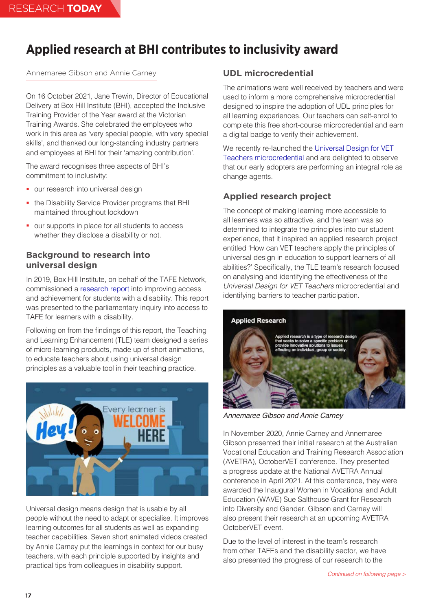# <span id="page-16-0"></span>**Applied research at BHI contributes to inclusivity award**

# Annemaree Gibson and Annie Carney

On 16 October 2021, Jane Trewin, Director of Educational Delivery at Box Hill Institute (BHI), accepted the Inclusive Training Provider of the Year award at the Victorian Training Awards. She celebrated the employees who work in this area as 'very special people, with very special skills', and thanked our long-standing industry partners and employees at BHI for their 'amazing contribution'.

The award recognises three aspects of BHI's commitment to inclusivity:

- our research into universal design
- the Disability Service Provider programs that BHI maintained throughout lockdown
- **•** our supports in place for all students to access whether they disclose a disability or not.

# **Background to research into universal design**

In 2019, Box Hill Institute, on behalf of the TAFE Network, commissioned a [research report](https://www.vta.vic.edu.au/doctest/publications/position-and-discussion-papers/1002-vta-response-disability-review-2020-pdf/file) into improving access and achievement for students with a disability. This report was presented to the parliamentary inquiry into access to TAFE for learners with a disability.

Following on from the findings of this report, the Teaching and Learning Enhancement (TLE) team designed a series of micro-learning products, made up of short animations, to educate teachers about using universal design principles as a valuable tool in their teaching practice.



Universal design means design that is usable by all people without the need to adapt or specialise. It improves learning outcomes for all students as well as expanding teacher capabilities. Seven short animated videos created by Annie Carney put the learnings in context for our busy teachers, with each principle supported by insights and practical tips from colleagues in disability support.

# **UDL microcredential**

The animations were well received by teachers and were used to inform a more comprehensive microcredential designed to inspire the adoption of UDL principles for all learning experiences. Our teachers can self-enrol to complete this free short-course microcredential and earn a digital badge to verify their achievement.

We recently re-launched the [Universal Design for VET](https://www.credly.com/org/box-hill-institute/badge/universal-design-for-vet-teachers)  [Teachers microcredential](https://www.credly.com/org/box-hill-institute/badge/universal-design-for-vet-teachers) and are delighted to observe that our early adopters are performing an integral role as change agents.

# **Applied research project**

The concept of making learning more accessible to all learners was so attractive, and the team was so determined to integrate the principles into our student experience, that it inspired an applied research project entitled 'How can VET teachers apply the principles of universal design in education to support learners of all abilities?' Specifically, the TLE team's research focused on analysing and identifying the effectiveness of the *Universal Design for VET Teachers* microcredential and identifying barriers to teacher participation.



*Annemaree Gibson and Annie Carney*

In November 2020, Annie Carney and Annemaree Gibson presented their initial research at the Australian Vocational Education and Training Research Association (AVETRA), OctoberVET conference. They presented a progress update at the National AVETRA Annual conference in April 2021. At this conference, they were awarded the Inaugural Women in Vocational and Adult Education (WAVE) Sue Salthouse Grant for Research into Diversity and Gender. Gibson and Carney will also present their research at an upcoming AVETRA [OctoberVET event.](https://drive.google.com/file/d/1-EGqskMNWxFSevquDx6UDUvpotbPCwqY/view)

Due to the level of interest in the team's research from other TAFEs and the disability sector, we have also presented the progress of our research to the